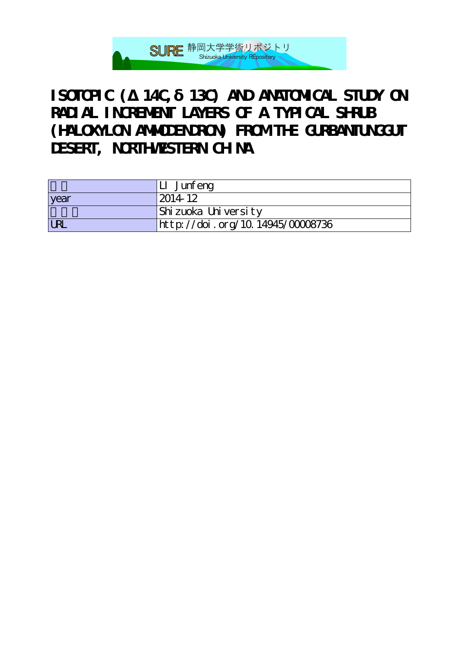

## **ISOTOPIC (** $14C$ **, 13C) AND ANATOMICAL STUDY ON RADIAL INCREMENT LAYERS OF A TYPICAL SHRUB (HALOXYLON AMMODENDRON) FROM THE GURBANTUNGGUT DESERT, NORTHWESTERN CHINA**

|            | LI Junfeng                                     |
|------------|------------------------------------------------|
| year       | 2014-12                                        |
|            | Shizuoka University                            |
| <b>URL</b> | $\frac{1}{2}$ http://doi.org/10.14945/00008736 |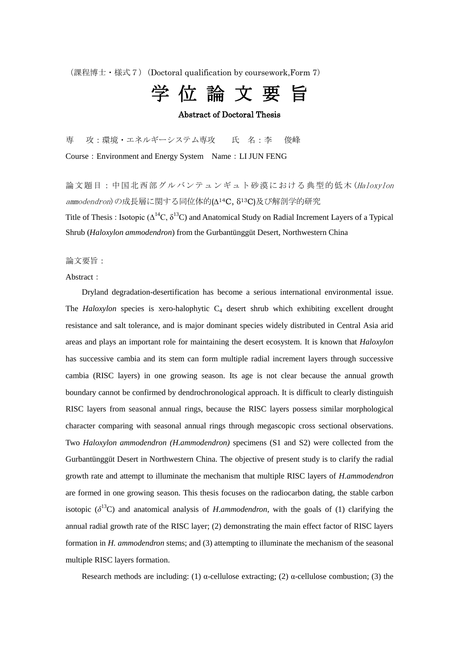(課程博士・様式7)(Doctoral qualification by coursework,Form 7)

## 学 位 論 文 要 旨

## Abstract of Doctoral Thesis

専 攻:環境・エネルギーシステム専攻 氏 名:李 俊峰 Course:Environment and Energy System Name:LI JUN FENG

論文題目:中国北西部グルバンテュンギュト砂漠における典型的低木(Haloxylon ammodendron)の成長層に関する同位体的(∆14C, δ13C)及び解剖学的研究 Title of Thesis: Isotopic ( $\Delta^{14}C$ ,  $\delta^{13}C$ ) and Anatomical Study on Radial Increment Layers of a Typical Shrub (*Haloxylon ammodendron*) from the Gurbantünggüt Desert, Northwestern China

論文要旨:

Abstract:

Dryland degradation-desertification has become a serious international environmental issue. The  $Haloxylon$  species is xero-halophytic  $C_4$  desert shrub which exhibiting excellent drought resistance and salt tolerance, and is major dominant species widely distributed in Central Asia arid areas and plays an important role for maintaining the desert ecosystem. It is known that *Haloxylon* has successive cambia and its stem can form multiple radial increment layers through successive cambia (RISC layers) in one growing season. Its age is not clear because the annual growth boundary cannot be confirmed by dendrochronological approach. It is difficult to clearly distinguish RISC layers from seasonal annual rings, because the RISC layers possess similar morphological character comparing with seasonal annual rings through megascopic cross sectional observations. Two *Haloxylon ammodendron (H.ammodendron)* specimens (S1 and S2) were collected from the Gurbantünggüt Desert in Northwestern China. The objective of present study is to clarify the radial growth rate and attempt to illuminate the mechanism that multiple RISC layers of *H.ammodendron* are formed in one growing season. This thesis focuses on the radiocarbon dating, the stable carbon isotopic  $(\delta^{13}C)$  and anatomical analysis of *H.ammodendron*, with the goals of (1) clarifying the annual radial growth rate of the RISC layer; (2) demonstrating the main effect factor of RISC layers formation in *H. ammodendron* stems; and (3) attempting to illuminate the mechanism of the seasonal multiple RISC layers formation.

Research methods are including: (1)  $\alpha$ -cellulose extracting; (2)  $\alpha$ -cellulose combustion; (3) the